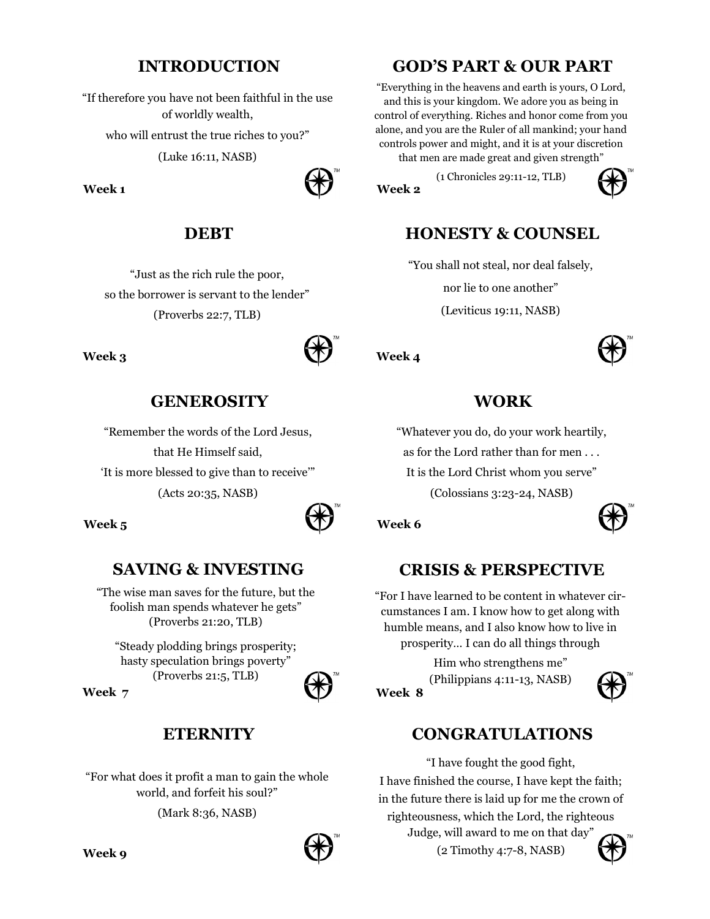## **INTRODUCTION**

"If therefore you have not been faithful in the use of worldly wealth, who will entrust the true riches to you?"

(Luke 16:11, NASB)

#### **Week 1**



## **DEBT**

"Just as the rich rule the poor, so the borrower is servant to the lender" (Proverbs 22:7, TLB)

#### **Week 3**



## **GENEROSITY**

"Remember the words of the Lord Jesus, that He Himself said,

'It is more blessed to give than to receive'"

(Acts 20:35, NASB)



#### **Week 5**

# **SAVING & INVESTING**

"The wise man saves for the future, but the foolish man spends whatever he gets" (Proverbs 21:20, TLB)

"Steady plodding brings prosperity; hasty speculation brings poverty" (Proverbs 21:5, TLB)

**Week 7**

## **ETERNITY**

"For what does it profit a man to gain the whole world, and forfeit his soul?"

(Mark 8:36, NASB)



## **GOD'S PART & OUR PART**

"Everything in the heavens and earth is yours, O Lord, and this is your kingdom. We adore you as being in control of everything. Riches and honor come from you alone, and you are the Ruler of all mankind; your hand controls power and might, and it is at your discretion that men are made great and given strength"

(1 Chronicles 29:11-12, TLB)



# **HONESTY & COUNSEL**

"You shall not steal, nor deal falsely, nor lie to one another" (Leviticus 19:11, NASB)

**Week 4**

**Week 2**



### **WORK**

"Whatever you do, do your work heartily,

as for the Lord rather than for men . . .

It is the Lord Christ whom you serve"

(Colossians 3:23-24, NASB)



# **CRISIS & PERSPECTIVE**

"For I have learned to be content in whatever circumstances I am. I know how to get along with humble means, and I also know how to live in prosperity… I can do all things through

**Week 8** Him who strengthens me" (Philippians 4:11-13, NASB)



### **CONGRATULATIONS**

"I have fought the good fight, I have finished the course, I have kept the faith; in the future there is laid up for me the crown of righteousness, which the Lord, the righteous Judge, will award to me on that day"

(2 Timothy 4:7-8, NASB)